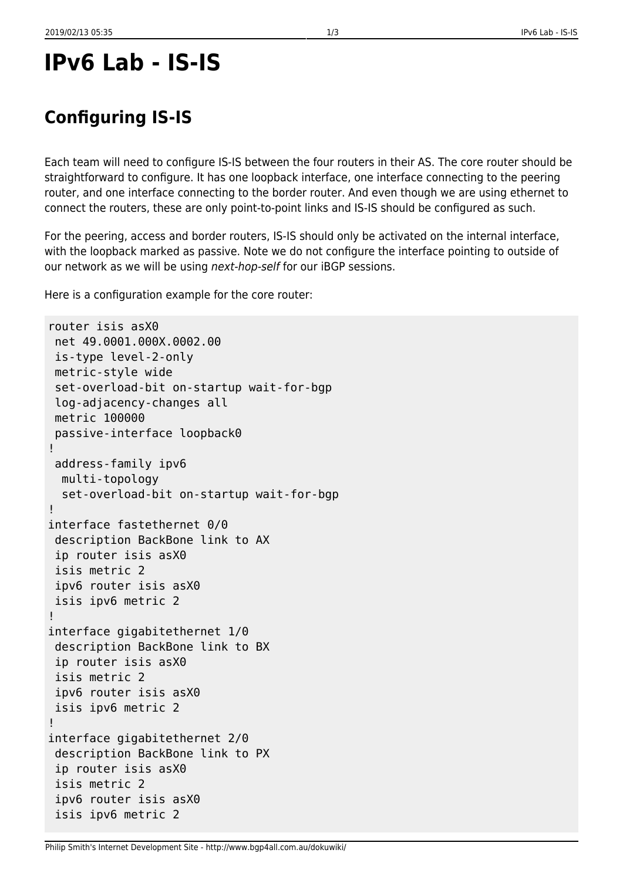# **IPv6 Lab - IS-IS**

## **Configuring IS-IS**

Each team will need to configure IS-IS between the four routers in their AS. The core router should be straightforward to configure. It has one loopback interface, one interface connecting to the peering router, and one interface connecting to the border router. And even though we are using ethernet to connect the routers, these are only point-to-point links and IS-IS should be configured as such.

For the peering, access and border routers, IS-IS should only be activated on the internal interface, with the loopback marked as passive. Note we do not configure the interface pointing to outside of our network as we will be using next-hop-self for our iBGP sessions.

Here is a configuration example for the core router:

```
router isis asX0
 net 49.0001.000X.0002.00
 is-type level-2-only
 metric-style wide
 set-overload-bit on-startup wait-for-bgp
 log-adjacency-changes all
 metric 100000
 passive-interface loopback0
!
 address-family ipv6
  multi-topology
   set-overload-bit on-startup wait-for-bgp
!
interface fastethernet 0/0
 description BackBone link to AX
 ip router isis asX0
 isis metric 2
 ipv6 router isis asX0
 isis ipv6 metric 2
!
interface gigabitethernet 1/0
 description BackBone link to BX
 ip router isis asX0
 isis metric 2
 ipv6 router isis asX0
 isis ipv6 metric 2
!
interface gigabitethernet 2/0
 description BackBone link to PX
 ip router isis asX0
 isis metric 2
 ipv6 router isis asX0
 isis ipv6 metric 2
```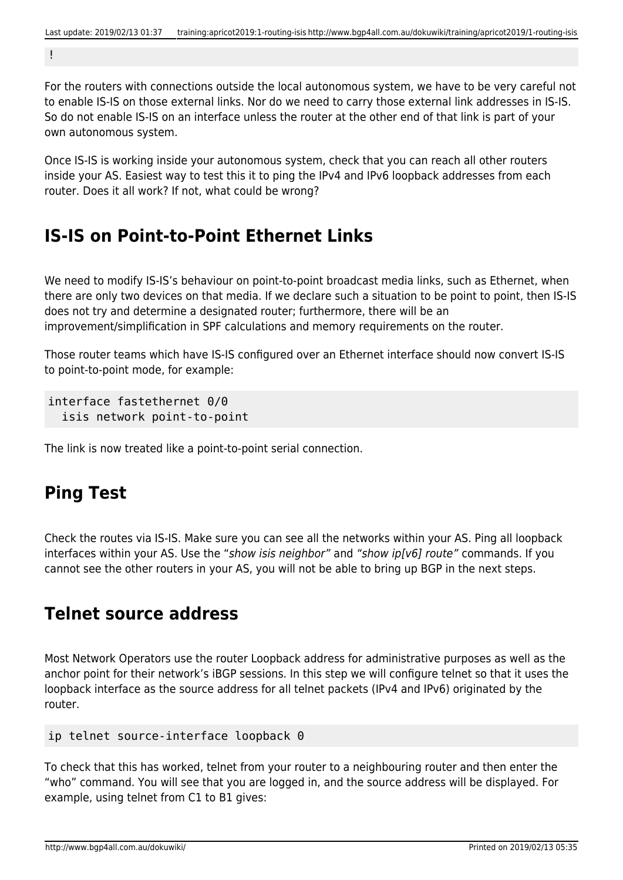!

For the routers with connections outside the local autonomous system, we have to be very careful not to enable IS-IS on those external links. Nor do we need to carry those external link addresses in IS-IS. So do not enable IS-IS on an interface unless the router at the other end of that link is part of your own autonomous system.

Once IS-IS is working inside your autonomous system, check that you can reach all other routers inside your AS. Easiest way to test this it to ping the IPv4 and IPv6 loopback addresses from each router. Does it all work? If not, what could be wrong?

#### **IS-IS on Point-to-Point Ethernet Links**

We need to modify IS-IS's behaviour on point-to-point broadcast media links, such as Ethernet, when there are only two devices on that media. If we declare such a situation to be point to point, then IS-IS does not try and determine a designated router; furthermore, there will be an improvement/simplification in SPF calculations and memory requirements on the router.

Those router teams which have IS-IS configured over an Ethernet interface should now convert IS-IS to point-to-point mode, for example:

```
interface fastethernet 0/0
   isis network point-to-point
```
The link is now treated like a point-to-point serial connection.

#### **Ping Test**

Check the routes via IS-IS. Make sure you can see all the networks within your AS. Ping all loopback interfaces within your AS. Use the "show isis neighbor" and "show ip[v6] route" commands. If you cannot see the other routers in your AS, you will not be able to bring up BGP in the next steps.

#### **Telnet source address**

Most Network Operators use the router Loopback address for administrative purposes as well as the anchor point for their network's iBGP sessions. In this step we will configure telnet so that it uses the loopback interface as the source address for all telnet packets (IPv4 and IPv6) originated by the router.

ip telnet source-interface loopback 0

To check that this has worked, telnet from your router to a neighbouring router and then enter the "who" command. You will see that you are logged in, and the source address will be displayed. For example, using telnet from C1 to B1 gives: